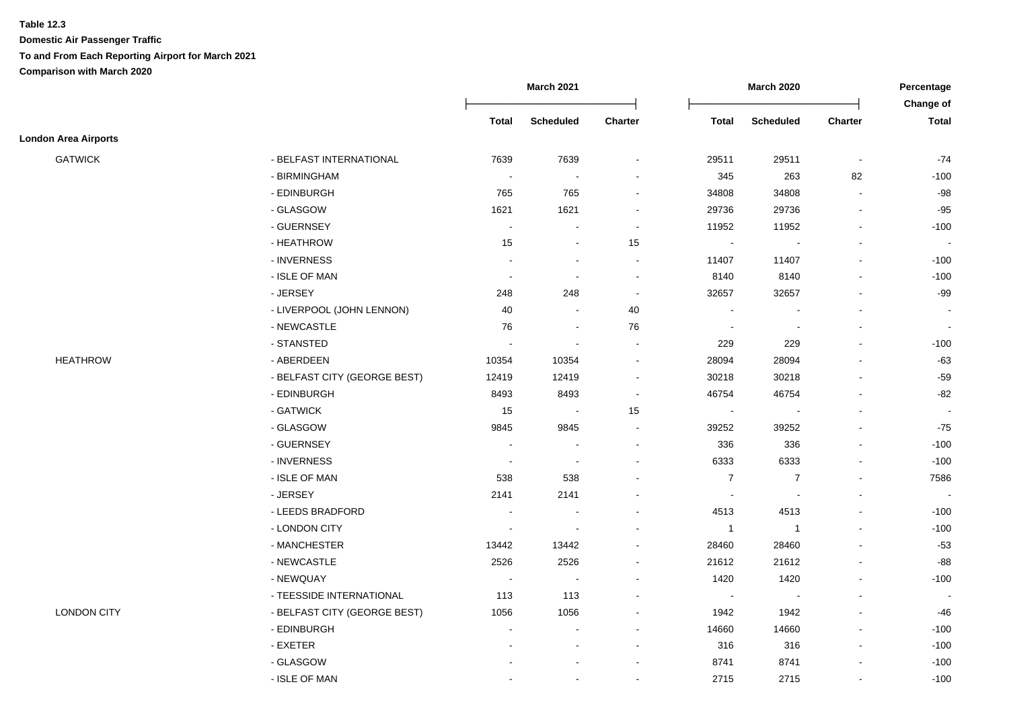|                             |                              |                          | <b>March 2021</b>        |                |                | <b>March 2020</b>        |                          | Percentage                |
|-----------------------------|------------------------------|--------------------------|--------------------------|----------------|----------------|--------------------------|--------------------------|---------------------------|
|                             |                              | Total                    | <b>Scheduled</b>         | Charter        | Total          | <b>Scheduled</b>         | Charter                  | Change of<br><b>Total</b> |
| <b>London Area Airports</b> |                              |                          |                          |                |                |                          |                          |                           |
| <b>GATWICK</b>              | - BELFAST INTERNATIONAL      | 7639                     | 7639                     |                | 29511          | 29511                    | $\blacksquare$           | $-74$                     |
|                             | - BIRMINGHAM                 | $\bullet$                |                          |                | 345            | 263                      | 82                       | $-100$                    |
|                             | - EDINBURGH                  | 765                      | 765                      |                | 34808          | 34808                    | $\overline{\phantom{a}}$ | $-98$                     |
|                             | - GLASGOW                    | 1621                     | 1621                     |                | 29736          | 29736                    | $\overline{\phantom{a}}$ | $-95$                     |
|                             | - GUERNSEY                   | $\overline{\phantom{a}}$ |                          | $\sim$         | 11952          | 11952                    | $\overline{\phantom{a}}$ | $-100$                    |
|                             | - HEATHROW                   | 15                       | $\sim$                   | 15             | $\blacksquare$ |                          | $\blacksquare$           | $\sim$                    |
|                             | - INVERNESS                  |                          | $\sim$                   | $\sim$         | 11407          | 11407                    | $\overline{\phantom{a}}$ | $-100$                    |
|                             | - ISLE OF MAN                | $\sim$                   | $\blacksquare$           | $\blacksquare$ | 8140           | 8140                     | $\overline{\phantom{a}}$ | $-100$                    |
|                             | - JERSEY                     | 248                      | 248                      | $\blacksquare$ | 32657          | 32657                    | $\blacksquare$           | $-99$                     |
|                             | - LIVERPOOL (JOHN LENNON)    | 40                       | $\blacksquare$           | 40             | $\blacksquare$ |                          | $\overline{a}$           |                           |
|                             | - NEWCASTLE                  | 76                       | $\overline{\phantom{a}}$ | 76             | $\blacksquare$ | $\overline{\phantom{a}}$ | $\overline{a}$           |                           |
|                             | - STANSTED                   | $\sim$                   | $\overline{\phantom{a}}$ |                | 229            | 229                      | L,                       | $-100$                    |
| <b>HEATHROW</b>             | - ABERDEEN                   | 10354                    | 10354                    |                | 28094          | 28094                    |                          | $-63$                     |
|                             | - BELFAST CITY (GEORGE BEST) | 12419                    | 12419                    | $\sim$         | 30218          | 30218                    | $\blacksquare$           | $-59$                     |
|                             | - EDINBURGH                  | 8493                     | 8493                     | $\sim$         | 46754          | 46754                    | $\blacksquare$           | $-82$                     |
|                             | - GATWICK                    | 15                       | $\sim$                   | 15             | $\blacksquare$ |                          | $\blacksquare$           | $\sim$                    |
|                             | - GLASGOW                    | 9845                     | 9845                     | $\sim$         | 39252          | 39252                    | $\blacksquare$           | $-75$                     |
|                             | - GUERNSEY                   | $\sim$                   |                          |                | 336            | 336                      | $\blacksquare$           | $-100$                    |
|                             | - INVERNESS                  | $\sim$                   | $\sim$                   |                | 6333           | 6333                     | $\blacksquare$           | $-100$                    |
|                             | - ISLE OF MAN                | 538                      | 538                      |                | $\overline{7}$ | $\overline{7}$           | $\blacksquare$           | 7586                      |
|                             | - JERSEY                     | 2141                     | 2141                     |                | $\blacksquare$ | $\overline{\phantom{a}}$ | $\mathbf{r}$             | $\sim$                    |
|                             | - LEEDS BRADFORD             | $\blacksquare$           | $\sim$                   |                | 4513           | 4513                     | $\mathbf{r}$             | $-100$                    |
|                             | - LONDON CITY                |                          |                          |                | $\overline{1}$ | $\overline{1}$           |                          | $-100$                    |
|                             | - MANCHESTER                 | 13442                    | 13442                    |                | 28460          | 28460                    |                          | $-53$                     |
|                             | - NEWCASTLE                  | 2526                     | 2526                     |                | 21612          | 21612                    | $\blacksquare$           | $-88$                     |
|                             | - NEWQUAY                    | $\blacksquare$           | $\sim$                   |                | 1420           | 1420                     | $\overline{\phantom{a}}$ | $-100$                    |
|                             | - TEESSIDE INTERNATIONAL     | 113                      | 113                      |                | $\blacksquare$ |                          | $\blacksquare$           |                           |
| <b>LONDON CITY</b>          | - BELFAST CITY (GEORGE BEST) | 1056                     | 1056                     |                | 1942           | 1942                     | $\blacksquare$           | $-46$                     |
|                             | - EDINBURGH                  |                          |                          |                | 14660          | 14660                    | $\blacksquare$           | $-100$                    |
|                             | - EXETER                     |                          |                          |                | 316            | 316                      | $\overline{\phantom{a}}$ | $-100$                    |
|                             | - GLASGOW                    |                          |                          |                | 8741           | 8741                     | $\blacksquare$           | $-100$                    |
|                             | - ISLE OF MAN                |                          |                          |                | 2715           | 2715                     | $\blacksquare$           | $-100$                    |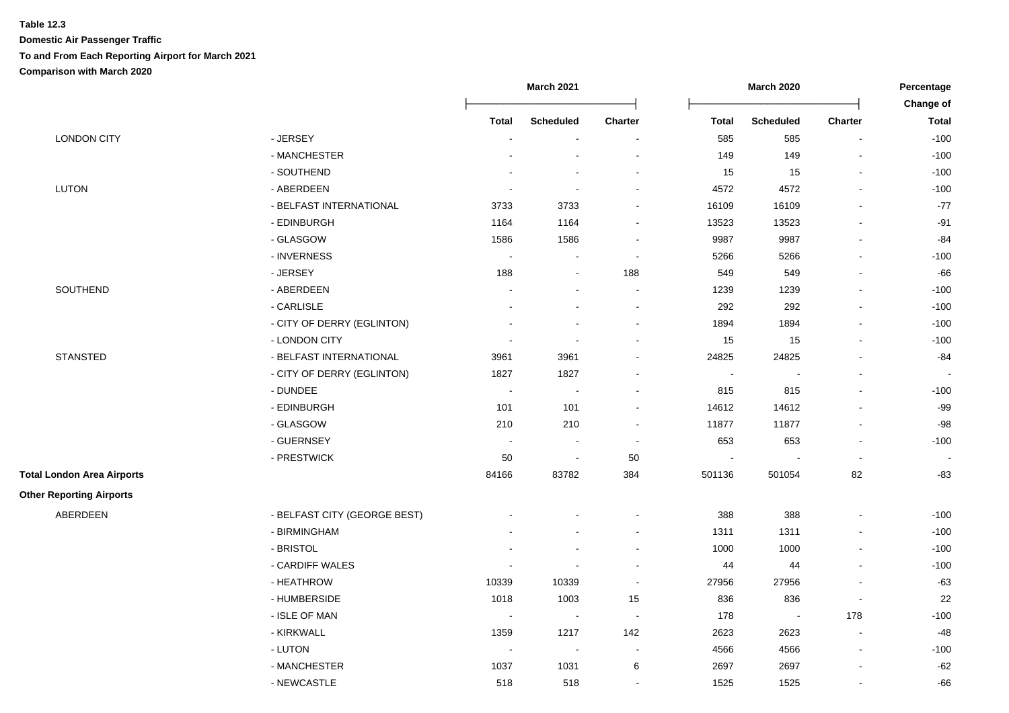|                                   |                              |                          | <b>March 2021</b>        |                          |                | <b>March 2020</b> |                          | Percentage                |
|-----------------------------------|------------------------------|--------------------------|--------------------------|--------------------------|----------------|-------------------|--------------------------|---------------------------|
|                                   |                              | <b>Total</b>             | <b>Scheduled</b>         | <b>Charter</b>           | <b>Total</b>   | <b>Scheduled</b>  | <b>Charter</b>           | Change of<br><b>Total</b> |
| <b>LONDON CITY</b>                | - JERSEY                     | $\sim$                   | $\blacksquare$           | $\overline{\phantom{a}}$ | 585            | 585               | $\blacksquare$           | $-100$                    |
|                                   | - MANCHESTER                 |                          |                          | $\blacksquare$           | 149            | 149               | $\blacksquare$           | $-100$                    |
|                                   | - SOUTHEND                   |                          |                          | $\blacksquare$           | 15             | 15                | $\blacksquare$           | $-100$                    |
| <b>LUTON</b>                      | - ABERDEEN                   | $\sim$                   | ÷,                       | $\overline{\phantom{a}}$ | 4572           | 4572              | $\blacksquare$           | $-100$                    |
|                                   | - BELFAST INTERNATIONAL      | 3733                     | 3733                     | $\overline{\phantom{a}}$ | 16109          | 16109             |                          | $-77$                     |
|                                   | - EDINBURGH                  | 1164                     | 1164                     |                          | 13523          | 13523             |                          | $-91$                     |
|                                   | - GLASGOW                    | 1586                     | 1586                     |                          | 9987           | 9987              |                          | $-84$                     |
|                                   | - INVERNESS                  | $\sim$                   | $\blacksquare$           | $\sim$                   | 5266           | 5266              | $\blacksquare$           | $-100$                    |
|                                   | - JERSEY                     | 188                      | $\sim$                   | 188                      | 549            | 549               | $\blacksquare$           | $-66$                     |
| SOUTHEND                          | - ABERDEEN                   |                          | ÷,                       | $\blacksquare$           | 1239           | 1239              | $\blacksquare$           | $-100$                    |
|                                   | - CARLISLE                   |                          |                          | $\overline{\phantom{a}}$ | 292            | 292               | $\blacksquare$           | $-100$                    |
|                                   | - CITY OF DERRY (EGLINTON)   |                          |                          | $\overline{\phantom{a}}$ | 1894           | 1894              | $\blacksquare$           | $-100$                    |
|                                   | - LONDON CITY                | $\sim$                   | $\overline{\phantom{a}}$ | $\overline{\phantom{a}}$ | 15             | 15                | $\blacksquare$           | $-100$                    |
| <b>STANSTED</b>                   | - BELFAST INTERNATIONAL      | 3961                     | 3961                     | $\sim$                   | 24825          | 24825             | $\blacksquare$           | $-84$                     |
|                                   | - CITY OF DERRY (EGLINTON)   | 1827                     | 1827                     | $\blacksquare$           | $\blacksquare$ | $\blacksquare$    | $\overline{\phantom{a}}$ |                           |
|                                   | - DUNDEE                     | $\sim$                   | $\sim$                   | $\blacksquare$           | 815            | 815               | $\blacksquare$           | $-100$                    |
|                                   | - EDINBURGH                  | 101                      | 101                      | $\blacksquare$           | 14612          | 14612             | $\blacksquare$           | $-99$                     |
|                                   | - GLASGOW                    | 210                      | 210                      | $\sim$                   | 11877          | 11877             | $\blacksquare$           | $-98$                     |
|                                   | - GUERNSEY                   | $\overline{\phantom{a}}$ | $\overline{\phantom{a}}$ | $\sim$                   | 653            | 653               | $\overline{a}$           | $-100$                    |
|                                   | - PRESTWICK                  | 50                       | $\sim$                   | 50                       |                |                   | $\overline{\phantom{a}}$ |                           |
| <b>Total London Area Airports</b> |                              | 84166                    | 83782                    | 384                      | 501136         | 501054            | 82                       | $-83$                     |
| <b>Other Reporting Airports</b>   |                              |                          |                          |                          |                |                   |                          |                           |
| ABERDEEN                          | - BELFAST CITY (GEORGE BEST) |                          |                          |                          | 388            | 388               |                          | $-100$                    |
|                                   | - BIRMINGHAM                 |                          |                          |                          | 1311           | 1311              |                          | $-100$                    |
|                                   | - BRISTOL                    |                          |                          | $\blacksquare$           | 1000           | 1000              | $\blacksquare$           | $-100$                    |
|                                   | - CARDIFF WALES              | $\overline{\phantom{a}}$ |                          | $\blacksquare$           | 44             | 44                | $\blacksquare$           | $-100$                    |
|                                   | - HEATHROW                   | 10339                    | 10339                    | $\blacksquare$           | 27956          | 27956             | $\blacksquare$           | $-63$                     |
|                                   | - HUMBERSIDE                 | 1018                     | 1003                     | 15                       | 836            | 836               | $\blacksquare$           | 22                        |
|                                   | - ISLE OF MAN                | $\blacksquare$           | $\blacksquare$           | $\sim$                   | 178            | $\blacksquare$    | 178                      | $-100$                    |
|                                   | - KIRKWALL                   | 1359                     | 1217                     | 142                      | 2623           | 2623              | $\overline{\phantom{a}}$ | $-48$                     |
|                                   | - LUTON                      | $\overline{\phantom{a}}$ | $\blacksquare$           | $\blacksquare$           | 4566           | 4566              | $\overline{\phantom{a}}$ | $-100$                    |
|                                   | - MANCHESTER                 | 1037                     | 1031                     | $\,6\,$                  | 2697           | 2697              | $\blacksquare$           | $-62$                     |
|                                   | - NEWCASTLE                  | 518                      | 518                      | $\sim$                   | 1525           | 1525              | $\blacksquare$           | -66                       |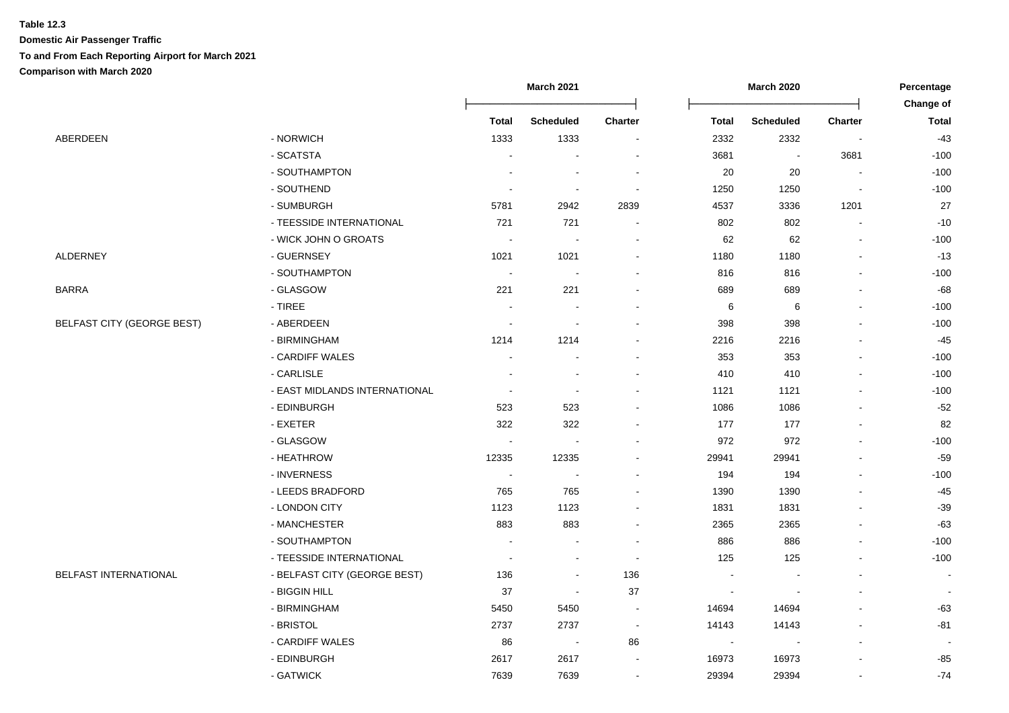|                                   |                               |                          | March 2021               |                          |                          | March 2020               |                | Percentage<br>Change of |
|-----------------------------------|-------------------------------|--------------------------|--------------------------|--------------------------|--------------------------|--------------------------|----------------|-------------------------|
|                                   |                               | <b>Total</b>             | <b>Scheduled</b>         | <b>Charter</b>           | <b>Total</b>             | <b>Scheduled</b>         | <b>Charter</b> | <b>Total</b>            |
| ABERDEEN                          | - NORWICH                     | 1333                     | 1333                     |                          | 2332                     | 2332                     |                | $-43$                   |
|                                   | - SCATSTA                     |                          |                          |                          | 3681                     | $\overline{\phantom{a}}$ | 3681           | $-100$                  |
|                                   | - SOUTHAMPTON                 |                          |                          |                          | 20                       | 20                       |                | $-100$                  |
|                                   | - SOUTHEND                    | $\overline{\phantom{a}}$ | $\overline{\phantom{a}}$ |                          | 1250                     | 1250                     |                | $-100$                  |
|                                   | - SUMBURGH                    | 5781                     | 2942                     | 2839                     | 4537                     | 3336                     | 1201           | 27                      |
|                                   | - TEESSIDE INTERNATIONAL      | 721                      | 721                      | $\overline{\phantom{a}}$ | 802                      | 802                      |                | $-10$                   |
|                                   | - WICK JOHN O GROATS          | $\overline{\phantom{a}}$ |                          | $\sim$                   | 62                       | 62                       |                | $-100$                  |
| <b>ALDERNEY</b>                   | - GUERNSEY                    | 1021                     | 1021                     | $\blacksquare$           | 1180                     | 1180                     |                | $-13$                   |
|                                   | - SOUTHAMPTON                 | $\sim$                   | $\blacksquare$           | $\blacksquare$           | 816                      | 816                      |                | $-100$                  |
| BARRA                             | - GLASGOW                     | 221                      | 221                      | $\overline{a}$           | 689                      | 689                      |                | $-68$                   |
|                                   | $-$ TIREE                     | $\blacksquare$           |                          |                          | 6                        | 6                        |                | $-100$                  |
| <b>BELFAST CITY (GEORGE BEST)</b> | - ABERDEEN                    | $\blacksquare$           | $\sim$                   |                          | 398                      | 398                      |                | $-100$                  |
|                                   | - BIRMINGHAM                  | 1214                     | 1214                     |                          | 2216                     | 2216                     |                | $-45$                   |
|                                   | - CARDIFF WALES               |                          |                          |                          | 353                      | 353                      |                | $-100$                  |
|                                   | - CARLISLE                    |                          |                          |                          | 410                      | 410                      |                | $-100$                  |
|                                   | - EAST MIDLANDS INTERNATIONAL | $\blacksquare$           | $\overline{\phantom{a}}$ |                          | 1121                     | 1121                     |                | $-100$                  |
|                                   | - EDINBURGH                   | 523                      | 523                      |                          | 1086                     | 1086                     |                | $-52$                   |
|                                   | - EXETER                      | 322                      | 322                      |                          | 177                      | 177                      |                | 82                      |
|                                   | - GLASGOW                     | $\blacksquare$           |                          |                          | 972                      | 972                      |                | $-100$                  |
|                                   | - HEATHROW                    | 12335                    | 12335                    |                          | 29941                    | 29941                    |                | $-59$                   |
|                                   | - INVERNESS                   | $\sim$                   | $\sim$                   |                          | 194                      | 194                      |                | $-100$                  |
|                                   | - LEEDS BRADFORD              | 765                      | 765                      | $\overline{a}$           | 1390                     | 1390                     |                | $-45$                   |
|                                   | - LONDON CITY                 | 1123                     | 1123                     |                          | 1831                     | 1831                     |                | $-39$                   |
|                                   | - MANCHESTER                  | 883                      | 883                      |                          | 2365                     | 2365                     |                | $-63$                   |
|                                   | - SOUTHAMPTON                 | $\sim$                   |                          |                          | 886                      | 886                      |                | $-100$                  |
|                                   | - TEESSIDE INTERNATIONAL      |                          |                          |                          | 125                      | 125                      |                | $-100$                  |
| <b>BELFAST INTERNATIONAL</b>      | - BELFAST CITY (GEORGE BEST)  | 136                      | $\overline{\phantom{a}}$ | 136                      |                          |                          |                |                         |
|                                   | - BIGGIN HILL                 | 37                       | $\overline{\phantom{a}}$ | 37                       |                          |                          |                |                         |
|                                   | - BIRMINGHAM                  | 5450                     | 5450                     | $\overline{\phantom{a}}$ | 14694                    | 14694                    |                | $-63$                   |
|                                   | - BRISTOL                     | 2737                     | 2737                     | $\overline{\phantom{a}}$ | 14143                    | 14143                    |                | $-81$                   |
|                                   | - CARDIFF WALES               | 86                       | $\overline{\phantom{a}}$ | 86                       | $\overline{\phantom{a}}$ | $\overline{\phantom{a}}$ |                | $\sim$                  |
|                                   | - EDINBURGH                   | 2617                     | 2617                     | $\overline{\phantom{a}}$ | 16973                    | 16973                    |                | $-85$                   |
|                                   | - GATWICK                     | 7639                     | 7639                     | $\blacksquare$           | 29394                    | 29394                    |                | $-74$                   |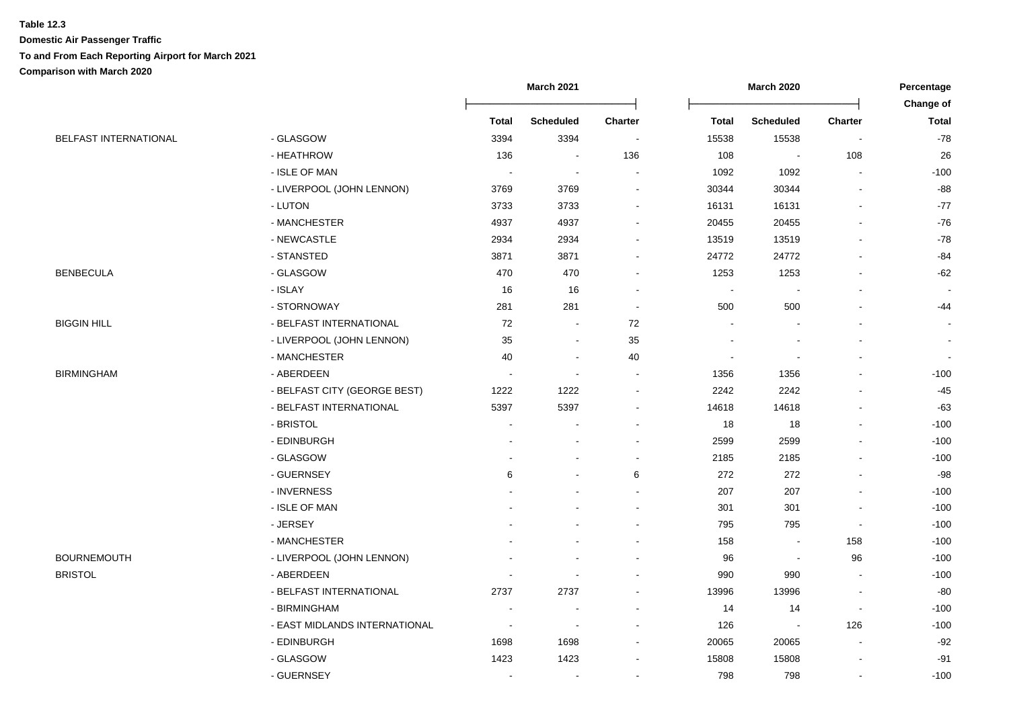|                              |                               |                          | <b>March 2021</b> |                |                          | <b>March 2020</b>        |                          | Percentage                       |
|------------------------------|-------------------------------|--------------------------|-------------------|----------------|--------------------------|--------------------------|--------------------------|----------------------------------|
|                              |                               | <b>Total</b>             | <b>Scheduled</b>  | Charter        | <b>Total</b>             | <b>Scheduled</b>         | <b>Charter</b>           | <b>Change of</b><br><b>Total</b> |
| <b>BELFAST INTERNATIONAL</b> | - GLASGOW                     | 3394                     | 3394              | $\sim$         | 15538                    | 15538                    | $\blacksquare$           | $-78$                            |
|                              | - HEATHROW                    | 136                      | $\blacksquare$    | 136            | 108                      | $\sim$                   | 108                      | 26                               |
|                              | - ISLE OF MAN                 | $\sim$                   | $\blacksquare$    |                | 1092                     | 1092                     |                          | $-100$                           |
|                              | - LIVERPOOL (JOHN LENNON)     | 3769                     | 3769              |                | 30344                    | 30344                    |                          | $-88$                            |
|                              | - LUTON                       | 3733                     | 3733              |                | 16131                    | 16131                    |                          | $-77$                            |
|                              | - MANCHESTER                  | 4937                     | 4937              |                | 20455                    | 20455                    |                          | $-76$                            |
|                              | - NEWCASTLE                   | 2934                     | 2934              |                | 13519                    | 13519                    |                          | $-78$                            |
|                              | - STANSTED                    | 3871                     | 3871              | $\blacksquare$ | 24772                    | 24772                    |                          | -84                              |
| <b>BENBECULA</b>             | - GLASGOW                     | 470                      | 470               | $\blacksquare$ | 1253                     | 1253                     |                          | $-62$                            |
|                              | - ISLAY                       | 16                       | 16                |                |                          |                          |                          |                                  |
|                              | - STORNOWAY                   | 281                      | 281               | $\sim$         | 500                      | 500                      |                          | -44                              |
| BIGGIN HILL                  | - BELFAST INTERNATIONAL       | 72                       | $\blacksquare$    | 72             |                          |                          |                          |                                  |
|                              | - LIVERPOOL (JOHN LENNON)     | 35                       | ä,                | 35             |                          |                          |                          | $\sim$                           |
|                              | - MANCHESTER                  | 40                       | $\sim$            | 40             | $\overline{\phantom{a}}$ | $\overline{\phantom{a}}$ |                          | $\sim$                           |
| BIRMINGHAM                   | - ABERDEEN                    | $\overline{a}$           | $\sim$            | $\overline{a}$ | 1356                     | 1356                     |                          | $-100$                           |
|                              | - BELFAST CITY (GEORGE BEST)  | 1222                     | 1222              |                | 2242                     | 2242                     |                          | $-45$                            |
|                              | - BELFAST INTERNATIONAL       | 5397                     | 5397              |                | 14618                    | 14618                    |                          | $-63$                            |
|                              | - BRISTOL                     |                          |                   |                | 18                       | 18                       |                          | $-100$                           |
|                              | - EDINBURGH                   |                          |                   |                | 2599                     | 2599                     |                          | $-100$                           |
|                              | - GLASGOW                     |                          |                   | $\blacksquare$ | 2185                     | 2185                     |                          | $-100$                           |
|                              | - GUERNSEY                    | 6                        |                   | 6              | 272                      | 272                      |                          | $-98$                            |
|                              | - INVERNESS                   |                          |                   | $\blacksquare$ | 207                      | 207                      |                          | $-100$                           |
|                              | - ISLE OF MAN                 |                          |                   |                | 301                      | 301                      |                          | $-100$                           |
|                              | - JERSEY                      |                          |                   |                | 795                      | 795                      | $\overline{\phantom{a}}$ | $-100$                           |
|                              | - MANCHESTER                  |                          |                   | $\blacksquare$ | 158                      | $\overline{\phantom{a}}$ | 158                      | $-100$                           |
| <b>BOURNEMOUTH</b>           | - LIVERPOOL (JOHN LENNON)     |                          |                   |                | 96                       | $\sim$                   | 96                       | $-100$                           |
| <b>BRISTOL</b>               | - ABERDEEN                    |                          |                   |                | 990                      | 990                      |                          | $-100$                           |
|                              | - BELFAST INTERNATIONAL       | 2737                     | 2737              |                | 13996                    | 13996                    |                          | $-80$                            |
|                              | - BIRMINGHAM                  |                          |                   |                | 14                       | 14                       |                          | $-100$                           |
|                              | - EAST MIDLANDS INTERNATIONAL | $\overline{\phantom{a}}$ |                   |                | 126                      | $\overline{a}$           | 126                      | $-100$                           |
|                              | - EDINBURGH                   | 1698                     | 1698              |                | 20065                    | 20065                    |                          | $-92$                            |
|                              | - GLASGOW                     | 1423                     | 1423              |                | 15808                    | 15808                    |                          | $-91$                            |
|                              | - GUERNSEY                    |                          | $\blacksquare$    |                | 798                      | 798                      |                          | $-100$                           |
|                              |                               |                          |                   |                |                          |                          |                          |                                  |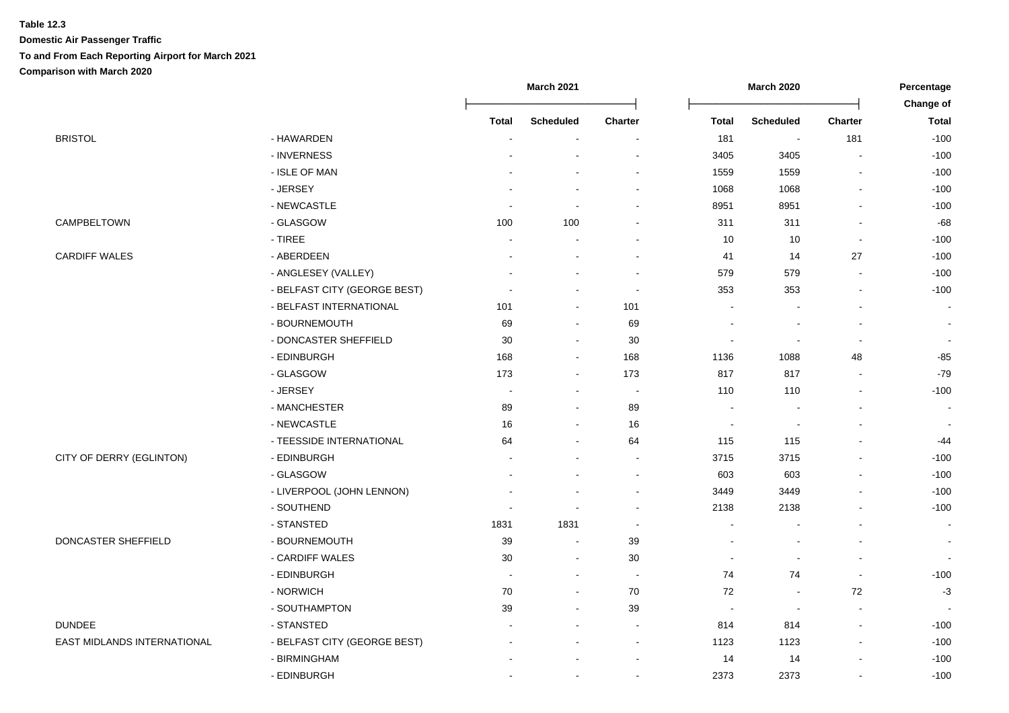|                             |                              |       | <b>March 2021</b>        |                          |                          | <b>March 2020</b>        |                          | Percentage     |
|-----------------------------|------------------------------|-------|--------------------------|--------------------------|--------------------------|--------------------------|--------------------------|----------------|
|                             |                              |       |                          |                          |                          |                          |                          | Change of      |
|                             |                              | Total | <b>Scheduled</b>         | <b>Charter</b>           | <b>Total</b>             | <b>Scheduled</b>         | <b>Charter</b>           | <b>Total</b>   |
| <b>BRISTOL</b>              | - HAWARDEN                   | J.    | $\blacksquare$           | $\blacksquare$           | 181                      | $\blacksquare$           | 181                      | $-100$         |
|                             | - INVERNESS                  |       |                          | $\overline{\phantom{a}}$ | 3405                     | 3405                     | $\overline{\phantom{a}}$ | $-100$         |
|                             | - ISLE OF MAN                |       |                          | ÷                        | 1559                     | 1559                     |                          | $-100$         |
|                             | - JERSEY                     |       |                          |                          | 1068                     | 1068                     |                          | $-100$         |
|                             | - NEWCASTLE                  |       |                          |                          | 8951                     | 8951                     |                          | $-100$         |
| CAMPBELTOWN                 | - GLASGOW                    | 100   | 100                      |                          | 311                      | 311                      |                          | $-68$          |
|                             | - TIREE                      |       | $\blacksquare$           |                          | 10                       | 10                       | $\overline{a}$           | $-100$         |
| <b>CARDIFF WALES</b>        | - ABERDEEN                   |       |                          | ÷                        | 41                       | 14                       | 27                       | $-100$         |
|                             | - ANGLESEY (VALLEY)          |       |                          | $\overline{\phantom{a}}$ | 579                      | 579                      | $\blacksquare$           | $-100$         |
|                             | - BELFAST CITY (GEORGE BEST) |       | $\overline{\phantom{a}}$ | $\overline{\phantom{a}}$ | 353                      | 353                      | $\blacksquare$           | $-100$         |
|                             | - BELFAST INTERNATIONAL      | 101   | $\blacksquare$           | 101                      | $\blacksquare$           |                          |                          | $\blacksquare$ |
|                             | - BOURNEMOUTH                | 69    | $\blacksquare$           | 69                       | $\overline{\phantom{a}}$ | $\overline{\phantom{a}}$ | $\blacksquare$           | $\sim$         |
|                             | - DONCASTER SHEFFIELD        | 30    | $\blacksquare$           | $30\,$                   | $\blacksquare$           | $\sim$                   | $\blacksquare$           | $\blacksquare$ |
|                             | - EDINBURGH                  | 168   | $\sim$                   | 168                      | 1136                     | 1088                     | 48                       | $-85$          |
|                             | - GLASGOW                    | 173   | $\blacksquare$           | 173                      | 817                      | 817                      | $\overline{\phantom{a}}$ | $-79$          |
|                             | - JERSEY                     |       | $\sim$                   | $\overline{\phantom{a}}$ | 110                      | 110                      |                          | $-100$         |
|                             | - MANCHESTER                 | 89    | $\sim$                   | 89                       |                          |                          |                          | $\sim$         |
|                             | - NEWCASTLE                  | 16    | $\blacksquare$           | 16                       | $\overline{\phantom{a}}$ | $\overline{\phantom{a}}$ |                          | $\blacksquare$ |
|                             | - TEESSIDE INTERNATIONAL     | 64    | $\blacksquare$           | 64                       | 115                      | 115                      |                          | -44            |
| CITY OF DERRY (EGLINTON)    | - EDINBURGH                  |       |                          | $\sim$                   | 3715                     | 3715                     |                          | $-100$         |
|                             | - GLASGOW                    |       |                          | $\overline{a}$           | 603                      | 603                      |                          | $-100$         |
|                             | - LIVERPOOL (JOHN LENNON)    |       |                          | $\blacksquare$           | 3449                     | 3449                     |                          | $-100$         |
|                             | - SOUTHEND                   |       | $\overline{\phantom{a}}$ | $\blacksquare$           | 2138                     | 2138                     |                          | $-100$         |
|                             | - STANSTED                   | 1831  | 1831                     | $\sim$                   | $\blacksquare$           | $\sim$                   |                          | $\sim$         |
| DONCASTER SHEFFIELD         | - BOURNEMOUTH                | 39    | $\blacksquare$           | 39                       | $\mathbf{r}$             | $\sim$                   |                          | $\sim$         |
|                             | - CARDIFF WALES              | 30    | $\sim$                   | 30                       | $\blacksquare$           | $\overline{a}$           | $\overline{\phantom{a}}$ | $\overline{a}$ |
|                             | - EDINBURGH                  |       | $\sim$                   | $\sim$                   | 74                       | 74                       | $\overline{a}$           | $-100$         |
|                             | - NORWICH                    | 70    | $\sim$                   | $70\,$                   | 72                       | $\overline{\phantom{a}}$ | 72                       | $-3$           |
|                             | - SOUTHAMPTON                | 39    | $\blacksquare$           | 39                       |                          | $\overline{\phantom{a}}$ |                          |                |
| <b>DUNDEE</b>               | - STANSTED                   |       |                          | $\blacksquare$           | 814                      | 814                      |                          | $-100$         |
| EAST MIDLANDS INTERNATIONAL | - BELFAST CITY (GEORGE BEST) |       |                          | $\blacksquare$           | 1123                     | 1123                     | $\overline{\phantom{a}}$ | $-100$         |
|                             | - BIRMINGHAM                 |       |                          | $\sim$                   | 14                       | 14                       | $\overline{\phantom{a}}$ | $-100$         |
|                             | - EDINBURGH                  |       |                          | $\blacksquare$           | 2373                     | 2373                     |                          | $-100$         |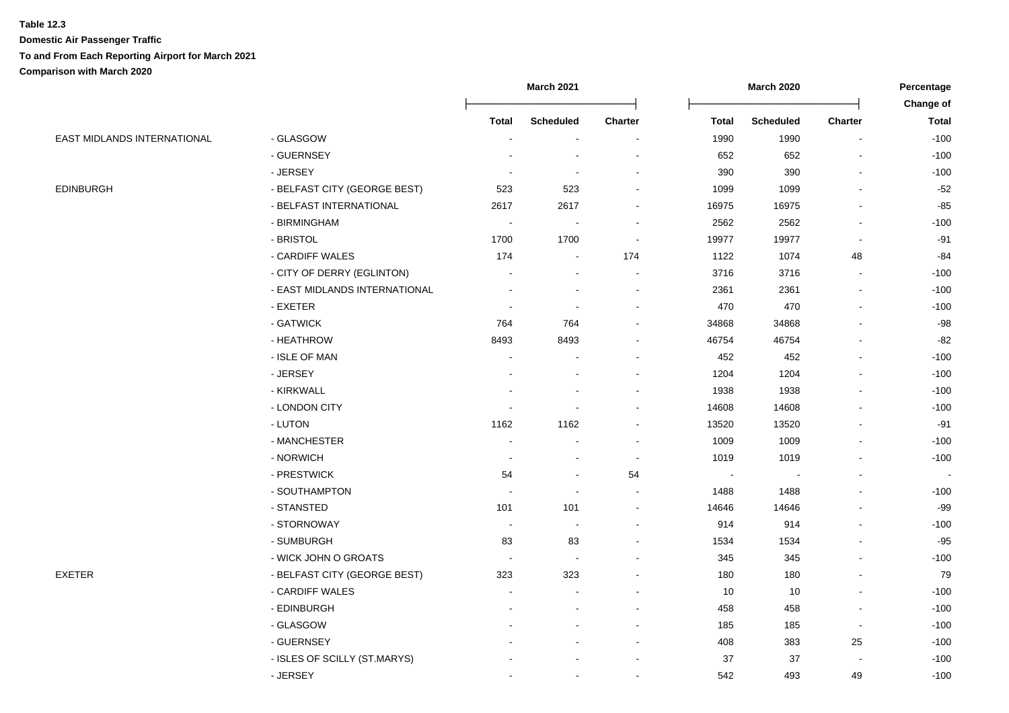|                             |                               |                          | <b>March 2021</b>        |                          |              | <b>March 2020</b> |                          | Percentage   |
|-----------------------------|-------------------------------|--------------------------|--------------------------|--------------------------|--------------|-------------------|--------------------------|--------------|
|                             |                               |                          |                          |                          |              |                   |                          | Change of    |
|                             |                               | <b>Total</b>             | <b>Scheduled</b>         | <b>Charter</b>           | <b>Total</b> | <b>Scheduled</b>  | <b>Charter</b>           | <b>Total</b> |
| EAST MIDLANDS INTERNATIONAL | - GLASGOW                     | $\blacksquare$           | $\overline{\phantom{a}}$ | $\blacksquare$           | 1990         | 1990              | $\blacksquare$           | $-100$       |
|                             | - GUERNSEY                    |                          |                          |                          | 652          | 652               |                          | $-100$       |
|                             | - JERSEY                      |                          |                          |                          | 390          | 390               |                          | $-100$       |
| <b>EDINBURGH</b>            | - BELFAST CITY (GEORGE BEST)  | 523                      | 523                      |                          | 1099         | 1099              |                          | $-52$        |
|                             | - BELFAST INTERNATIONAL       | 2617                     | 2617                     |                          | 16975        | 16975             |                          | $-85$        |
|                             | - BIRMINGHAM                  | $\overline{\phantom{a}}$ |                          |                          | 2562         | 2562              |                          | $-100$       |
|                             | - BRISTOL                     | 1700                     | 1700                     | $\overline{\phantom{a}}$ | 19977        | 19977             |                          | $-91$        |
|                             | - CARDIFF WALES               | 174                      | $\blacksquare$           | 174                      | 1122         | 1074              | 48                       | $-84$        |
|                             | - CITY OF DERRY (EGLINTON)    |                          |                          | $\sim$                   | 3716         | 3716              | $\sim$                   | $-100$       |
|                             | - EAST MIDLANDS INTERNATIONAL |                          |                          | $\blacksquare$           | 2361         | 2361              | $\blacksquare$           | $-100$       |
|                             | - EXETER                      |                          |                          |                          | 470          | 470               | $\overline{a}$           | $-100$       |
|                             | - GATWICK                     | 764                      | 764                      |                          | 34868        | 34868             |                          | $-98$        |
|                             | - HEATHROW                    | 8493                     | 8493                     |                          | 46754        | 46754             | $\blacksquare$           | -82          |
|                             | - ISLE OF MAN                 |                          |                          |                          | 452          | 452               | $\blacksquare$           | $-100$       |
|                             | - JERSEY                      |                          |                          |                          | 1204         | 1204              |                          | $-100$       |
|                             | - KIRKWALL                    |                          |                          |                          | 1938         | 1938              |                          | $-100$       |
|                             | - LONDON CITY                 |                          |                          |                          | 14608        | 14608             |                          | $-100$       |
|                             | - LUTON                       | 1162                     | 1162                     |                          | 13520        | 13520             |                          | $-91$        |
|                             | - MANCHESTER                  |                          |                          |                          | 1009         | 1009              | $\overline{a}$           | $-100$       |
|                             | - NORWICH                     |                          |                          | $\blacksquare$           | 1019         | 1019              |                          | $-100$       |
|                             | - PRESTWICK                   | 54                       | $\overline{\phantom{a}}$ | 54                       |              |                   |                          |              |
|                             | - SOUTHAMPTON                 | $\sim$                   | $\sim$                   | $\blacksquare$           | 1488         | 1488              |                          | $-100$       |
|                             | - STANSTED                    | 101                      | 101                      | $\sim$                   | 14646        | 14646             |                          | $-99$        |
|                             | - STORNOWAY                   | $\sim$                   | $\blacksquare$           |                          | 914          | 914               | $\blacksquare$           | $-100$       |
|                             | - SUMBURGH                    | 83                       | 83                       |                          | 1534         | 1534              |                          | $-95$        |
|                             | - WICK JOHN O GROATS          | $\blacksquare$           | $\sim$                   |                          | 345          | 345               |                          | $-100$       |
| <b>EXETER</b>               | - BELFAST CITY (GEORGE BEST)  | 323                      | 323                      |                          | 180          | 180               |                          | 79           |
|                             | - CARDIFF WALES               |                          |                          |                          | 10           | 10                | $\sim$                   | $-100$       |
|                             | - EDINBURGH                   |                          |                          |                          | 458          | 458               |                          | $-100$       |
|                             | - GLASGOW                     |                          |                          |                          | 185          | 185               | $\overline{\phantom{a}}$ | $-100$       |
|                             | - GUERNSEY                    |                          |                          |                          | 408          | 383               | 25                       | $-100$       |
|                             | - ISLES OF SCILLY (ST.MARYS)  |                          |                          |                          | 37           | 37                | $\blacksquare$           | $-100$       |
|                             | - JERSEY                      |                          | $\sim$                   | $\blacksquare$           | 542          | 493               | 49                       | $-100$       |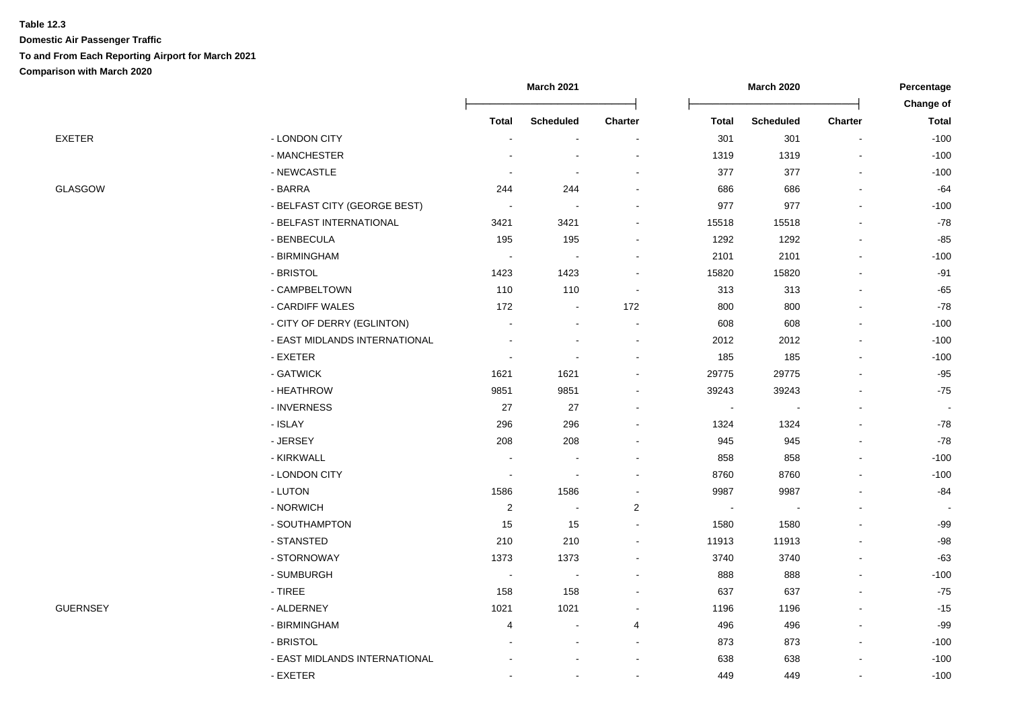|                 |                               |                          | <b>March 2021</b>        |                          |                | <b>March 2020</b> |                | Percentage   |
|-----------------|-------------------------------|--------------------------|--------------------------|--------------------------|----------------|-------------------|----------------|--------------|
|                 |                               |                          |                          |                          |                |                   |                | Change of    |
|                 |                               | <b>Total</b>             | <b>Scheduled</b>         | <b>Charter</b>           | <b>Total</b>   | <b>Scheduled</b>  | <b>Charter</b> | <b>Total</b> |
| EXETER          | - LONDON CITY                 | $\overline{\phantom{a}}$ | $\overline{\phantom{a}}$ |                          | 301            | 301               |                | $-100$       |
|                 | - MANCHESTER                  |                          |                          |                          | 1319           | 1319              | ٠              | $-100$       |
|                 | - NEWCASTLE                   |                          | $\overline{\phantom{a}}$ |                          | 377            | 377               | L,             | $-100$       |
| GLASGOW         | - BARRA                       | 244                      | 244                      |                          | 686            | 686               |                | $-64$        |
|                 | - BELFAST CITY (GEORGE BEST)  |                          |                          |                          | 977            | 977               |                | $-100$       |
|                 | - BELFAST INTERNATIONAL       | 3421                     | 3421                     |                          | 15518          | 15518             |                | $-78$        |
|                 | - BENBECULA                   | 195                      | 195                      |                          | 1292           | 1292              |                | $-85$        |
|                 | - BIRMINGHAM                  |                          |                          |                          | 2101           | 2101              |                | $-100$       |
|                 | - BRISTOL                     | 1423                     | 1423                     |                          | 15820          | 15820             |                | $-91$        |
|                 | - CAMPBELTOWN                 | 110                      | 110                      | $\sim$                   | 313            | 313               |                | $-65$        |
|                 | - CARDIFF WALES               | 172                      | $\blacksquare$           | 172                      | 800            | 800               |                | $-78$        |
|                 | - CITY OF DERRY (EGLINTON)    | $\blacksquare$           | $\overline{\phantom{0}}$ | $\overline{\phantom{a}}$ | 608            | 608               | $\overline{a}$ | $-100$       |
|                 | - EAST MIDLANDS INTERNATIONAL |                          | $\blacksquare$           | $\sim$                   | 2012           | 2012              | L,             | $-100$       |
|                 | - EXETER                      |                          |                          |                          | 185            | 185               | ٠              | $-100$       |
|                 | - GATWICK                     | 1621                     | 1621                     |                          | 29775          | 29775             |                | $-95$        |
|                 | - HEATHROW                    | 9851                     | 9851                     |                          | 39243          | 39243             |                | $-75$        |
|                 | - INVERNESS                   | 27                       | 27                       |                          |                |                   | $\blacksquare$ | $\sim$       |
|                 | - ISLAY                       | 296                      | 296                      |                          | 1324           | 1324              |                | $-78$        |
|                 | - JERSEY                      | 208                      | 208                      |                          | 945            | 945               |                | $-78$        |
|                 | - KIRKWALL                    |                          |                          |                          | 858            | 858               |                | $-100$       |
|                 | - LONDON CITY                 |                          | $\blacksquare$           |                          | 8760           | 8760              |                | $-100$       |
|                 | - LUTON                       | 1586                     | 1586                     |                          | 9987           | 9987              |                | $-84$        |
|                 | - NORWICH                     | $\sqrt{2}$               | $\blacksquare$           | $\overline{\mathbf{c}}$  | $\blacksquare$ | $\blacksquare$    |                |              |
|                 | - SOUTHAMPTON                 | 15                       | 15                       | $\sim$                   | 1580           | 1580              | L,             | $-99$        |
|                 | - STANSTED                    | 210                      | 210                      |                          | 11913          | 11913             |                | $-98$        |
|                 | - STORNOWAY                   | 1373                     | 1373                     |                          | 3740           | 3740              |                | $-63$        |
|                 | - SUMBURGH                    |                          |                          |                          | 888            | 888               |                | $-100$       |
|                 | $-$ TIREE                     | 158                      | 158                      |                          | 637            | 637               |                | $-75$        |
| <b>GUERNSEY</b> | - ALDERNEY                    | 1021                     | 1021                     |                          | 1196           | 1196              |                | $-15$        |
|                 | - BIRMINGHAM                  | 4                        | $\sim$                   | 4                        | 496            | 496               |                | $-99$        |
|                 | - BRISTOL                     |                          |                          |                          | 873            | 873               | L,             | $-100$       |
|                 | - EAST MIDLANDS INTERNATIONAL |                          |                          |                          | 638            | 638               |                | $-100$       |
|                 | - EXETER                      |                          | $\blacksquare$           |                          | 449            | 449               |                | $-100$       |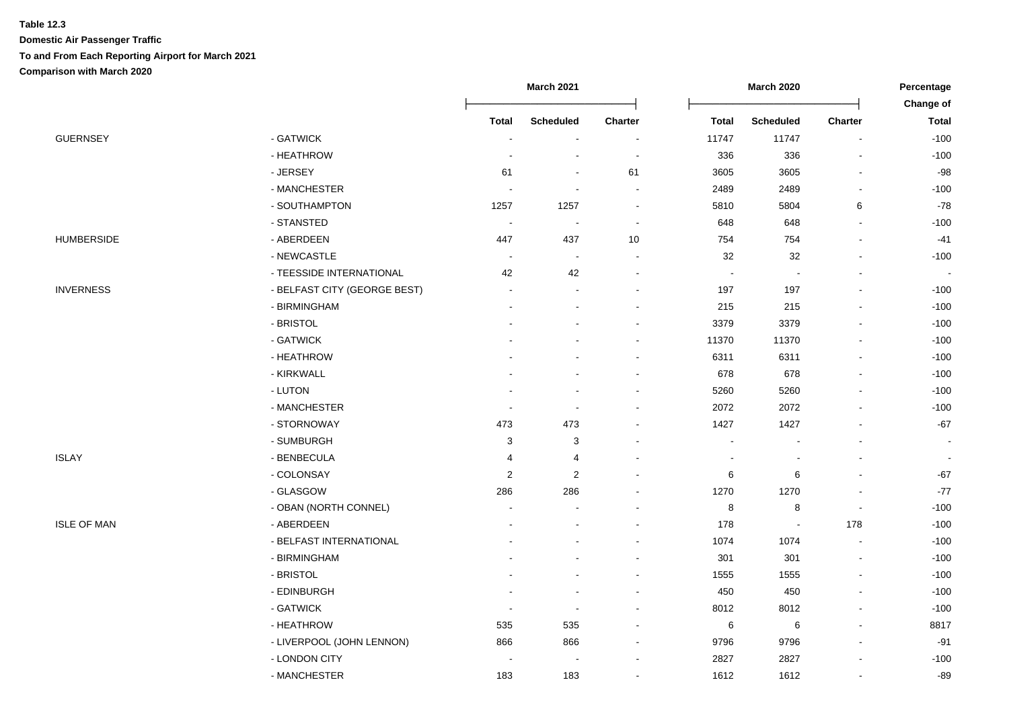|                           |                                                                                                                                                                             |                                         |                                                            |                       |                                                                                 |                                                                                                          | Percentage<br>Change of  |
|---------------------------|-----------------------------------------------------------------------------------------------------------------------------------------------------------------------------|-----------------------------------------|------------------------------------------------------------|-----------------------|---------------------------------------------------------------------------------|----------------------------------------------------------------------------------------------------------|--------------------------|
|                           |                                                                                                                                                                             |                                         |                                                            |                       |                                                                                 |                                                                                                          | <b>Total</b>             |
|                           | $\overline{\phantom{a}}$                                                                                                                                                    |                                         |                                                            |                       |                                                                                 |                                                                                                          | $-100$                   |
|                           |                                                                                                                                                                             |                                         |                                                            |                       |                                                                                 |                                                                                                          | $-100$                   |
|                           |                                                                                                                                                                             |                                         |                                                            |                       |                                                                                 |                                                                                                          | $-98$                    |
|                           |                                                                                                                                                                             |                                         |                                                            |                       |                                                                                 |                                                                                                          | $-100$                   |
|                           |                                                                                                                                                                             |                                         |                                                            |                       |                                                                                 |                                                                                                          | $-78$                    |
|                           | $\overline{\phantom{a}}$                                                                                                                                                    |                                         |                                                            |                       |                                                                                 |                                                                                                          | $-100$                   |
|                           |                                                                                                                                                                             |                                         |                                                            |                       |                                                                                 |                                                                                                          | $-41$                    |
|                           | $\sim$                                                                                                                                                                      | $\blacksquare$                          |                                                            |                       |                                                                                 |                                                                                                          | $-100$                   |
|                           |                                                                                                                                                                             |                                         |                                                            |                       |                                                                                 |                                                                                                          |                          |
|                           |                                                                                                                                                                             |                                         |                                                            |                       |                                                                                 |                                                                                                          | $-100$                   |
| - BIRMINGHAM              |                                                                                                                                                                             |                                         |                                                            | 215                   | 215                                                                             |                                                                                                          | $-100$                   |
| - BRISTOL                 |                                                                                                                                                                             |                                         |                                                            | 3379                  | 3379                                                                            | $\blacksquare$                                                                                           | $-100$                   |
| - GATWICK                 |                                                                                                                                                                             |                                         |                                                            | 11370                 | 11370                                                                           |                                                                                                          | $-100$                   |
| - HEATHROW                |                                                                                                                                                                             |                                         |                                                            | 6311                  | 6311                                                                            |                                                                                                          | $-100$                   |
| - KIRKWALL                |                                                                                                                                                                             |                                         |                                                            | 678                   | 678                                                                             |                                                                                                          | $-100$                   |
| - LUTON                   |                                                                                                                                                                             |                                         |                                                            | 5260                  | 5260                                                                            |                                                                                                          | $-100$                   |
| - MANCHESTER              |                                                                                                                                                                             |                                         |                                                            | 2072                  | 2072                                                                            |                                                                                                          | $-100$                   |
| - STORNOWAY               | 473                                                                                                                                                                         | 473                                     |                                                            | 1427                  | 1427                                                                            |                                                                                                          | $-67$                    |
| - SUMBURGH                | 3                                                                                                                                                                           | 3                                       |                                                            |                       |                                                                                 |                                                                                                          |                          |
| - BENBECULA               | 4                                                                                                                                                                           | 4                                       |                                                            |                       |                                                                                 |                                                                                                          | $\overline{\phantom{a}}$ |
| - COLONSAY                | 2                                                                                                                                                                           | $\overline{2}$                          |                                                            | 6                     | 6                                                                               |                                                                                                          | $-67$                    |
| - GLASGOW                 | 286                                                                                                                                                                         | 286                                     |                                                            | 1270                  | 1270                                                                            |                                                                                                          | $-77$                    |
| - OBAN (NORTH CONNEL)     |                                                                                                                                                                             |                                         |                                                            | 8                     | 8                                                                               | $\overline{\phantom{a}}$                                                                                 | $-100$                   |
| - ABERDEEN                |                                                                                                                                                                             |                                         |                                                            | 178                   | $\overline{\phantom{a}}$                                                        | 178                                                                                                      | $-100$                   |
| - BELFAST INTERNATIONAL   |                                                                                                                                                                             |                                         |                                                            | 1074                  | 1074                                                                            | $\blacksquare$                                                                                           | $-100$                   |
| - BIRMINGHAM              |                                                                                                                                                                             |                                         |                                                            | 301                   | 301                                                                             |                                                                                                          | $-100$                   |
| - BRISTOL                 |                                                                                                                                                                             |                                         |                                                            | 1555                  | 1555                                                                            |                                                                                                          | $-100$                   |
| - EDINBURGH               |                                                                                                                                                                             |                                         |                                                            | 450                   | 450                                                                             |                                                                                                          | $-100$                   |
| - GATWICK                 |                                                                                                                                                                             |                                         |                                                            | 8012                  | 8012                                                                            |                                                                                                          | $-100$                   |
| - HEATHROW                | 535                                                                                                                                                                         | 535                                     |                                                            | 6                     | 6                                                                               |                                                                                                          | 8817                     |
| - LIVERPOOL (JOHN LENNON) | 866                                                                                                                                                                         | 866                                     |                                                            | 9796                  | 9796                                                                            |                                                                                                          | $-91$                    |
| - LONDON CITY             |                                                                                                                                                                             |                                         |                                                            | 2827                  | 2827                                                                            |                                                                                                          | $-100$                   |
| - MANCHESTER              | 183                                                                                                                                                                         | 183                                     |                                                            | 1612                  | 1612                                                                            |                                                                                                          | $-89$                    |
|                           | - GATWICK<br>- HEATHROW<br>- JERSEY<br>- MANCHESTER<br>- SOUTHAMPTON<br>- STANSTED<br>- ABERDEEN<br>- NEWCASTLE<br>- TEESSIDE INTERNATIONAL<br>- BELFAST CITY (GEORGE BEST) | <b>Total</b><br>61<br>1257<br>447<br>42 | <b>March 2021</b><br><b>Scheduled</b><br>1257<br>437<br>42 | Charter<br>61<br>$10$ | <b>Total</b><br>11747<br>336<br>3605<br>2489<br>5810<br>648<br>754<br>32<br>197 | <b>March 2020</b><br><b>Scheduled</b><br>11747<br>336<br>3605<br>2489<br>5804<br>648<br>754<br>32<br>197 | <b>Charter</b><br>6      |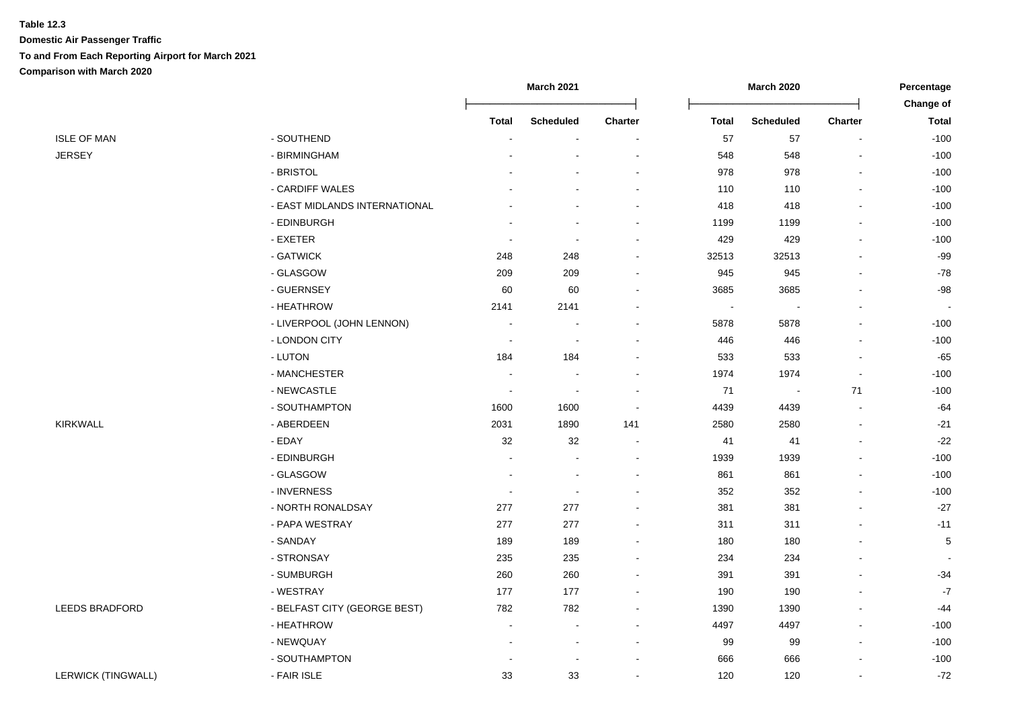|                           |                               |                          | <b>March 2021</b>        |         | <b>March 2020</b> |                          |                | Percentage               |
|---------------------------|-------------------------------|--------------------------|--------------------------|---------|-------------------|--------------------------|----------------|--------------------------|
|                           |                               |                          |                          |         |                   |                          |                | Change of                |
|                           |                               | <b>Total</b>             | <b>Scheduled</b>         | Charter | <b>Total</b>      | <b>Scheduled</b>         | <b>Charter</b> | <b>Total</b>             |
| <b>ISLE OF MAN</b>        | - SOUTHEND                    |                          | $\blacksquare$           | $\sim$  | 57                | 57                       |                | $-100$                   |
| JERSEY                    | - BIRMINGHAM                  |                          |                          |         | 548               | 548                      |                | $-100$                   |
|                           | - BRISTOL                     |                          |                          |         | 978               | 978                      |                | $-100$                   |
|                           | - CARDIFF WALES               |                          |                          |         | 110               | 110                      |                | $-100$                   |
|                           | - EAST MIDLANDS INTERNATIONAL |                          |                          |         | 418               | 418                      |                | $-100$                   |
|                           | - EDINBURGH                   |                          |                          |         | 1199              | 1199                     |                | $-100$                   |
|                           | - EXETER                      |                          | $\overline{\phantom{a}}$ |         | 429               | 429                      |                | $-100$                   |
|                           | - GATWICK                     | 248                      | 248                      |         | 32513             | 32513                    |                | $-99$                    |
|                           | - GLASGOW                     | 209                      | 209                      |         | 945               | 945                      |                | $-78$                    |
|                           | - GUERNSEY                    | 60                       | 60                       |         | 3685              | 3685                     |                | $-98$                    |
|                           | - HEATHROW                    | 2141                     | 2141                     |         | $\sim$            | $\overline{\phantom{a}}$ |                | $\blacksquare$           |
|                           | - LIVERPOOL (JOHN LENNON)     | $\overline{\phantom{a}}$ |                          |         | 5878              | 5878                     |                | $-100$                   |
|                           | - LONDON CITY                 | $\overline{\phantom{a}}$ |                          |         | 446               | 446                      |                | $-100$                   |
|                           | - LUTON                       | 184                      | 184                      |         | 533               | 533                      |                | $-65$                    |
|                           | - MANCHESTER                  |                          |                          |         | 1974              | 1974                     |                | $-100$                   |
|                           | - NEWCASTLE                   | <b>.</b>                 | $\overline{\phantom{a}}$ |         | 71                | $\blacksquare$           | 71             | $-100$                   |
|                           | - SOUTHAMPTON                 | 1600                     | 1600                     |         | 4439              | 4439                     |                | $-64$                    |
| KIRKWALL                  | - ABERDEEN                    | 2031                     | 1890                     | 141     | 2580              | 2580                     |                | $-21$                    |
|                           | - EDAY                        | 32                       | 32                       |         | 41                | 41                       |                | $-22$                    |
|                           | - EDINBURGH                   |                          | $\sim$                   |         | 1939              | 1939                     |                | $-100$                   |
|                           | - GLASGOW                     |                          | $\sim$                   |         | 861               | 861                      |                | $-100$                   |
|                           | - INVERNESS                   |                          | $\sim$                   |         | 352               | 352                      |                | $-100$                   |
|                           | - NORTH RONALDSAY             | 277                      | 277                      |         | 381               | 381                      |                | $-27$                    |
|                           | - PAPA WESTRAY                | 277                      | 277                      |         | 311               | 311                      |                | $-11$                    |
|                           | - SANDAY                      | 189                      | 189                      |         | 180               | 180                      |                | 5                        |
|                           | - STRONSAY                    | 235                      | 235                      |         | 234               | 234                      |                | $\overline{\phantom{a}}$ |
|                           | - SUMBURGH                    | 260                      | 260                      |         | 391               | 391                      |                | $-34$                    |
|                           | - WESTRAY                     | 177                      | 177                      |         | 190               | 190                      |                | $-7$                     |
| <b>LEEDS BRADFORD</b>     | - BELFAST CITY (GEORGE BEST)  | 782                      | 782                      |         | 1390              | 1390                     |                | -44                      |
|                           | - HEATHROW                    | $\blacksquare$           |                          |         | 4497              | 4497                     |                | $-100$                   |
|                           | - NEWQUAY                     |                          | $\sim$                   |         | 99                | 99                       |                | $-100$                   |
|                           | - SOUTHAMPTON                 |                          |                          |         | 666               | 666                      |                | $-100$                   |
| <b>LERWICK (TINGWALL)</b> | - FAIR ISLE                   | 33                       | 33                       |         | 120               | 120                      |                | $-72$                    |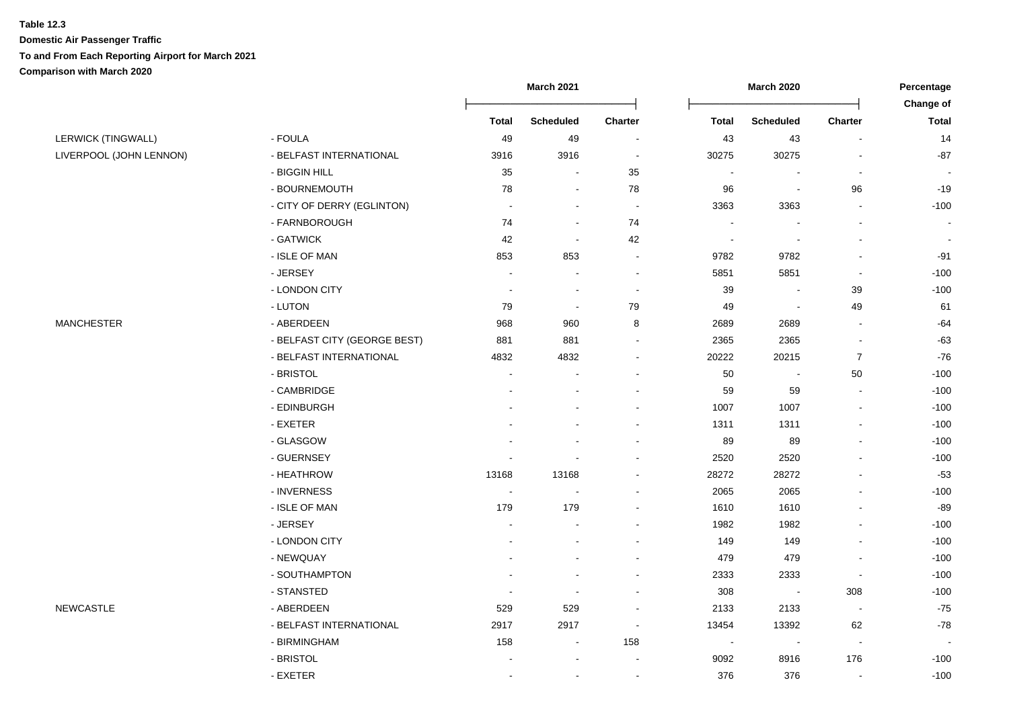|                           |                              |              | <b>March 2021</b> |                          |                          | <b>March 2020</b>        |                          | Percentage<br>Change of |
|---------------------------|------------------------------|--------------|-------------------|--------------------------|--------------------------|--------------------------|--------------------------|-------------------------|
|                           |                              | <b>Total</b> | <b>Scheduled</b>  | <b>Charter</b>           | <b>Total</b>             | <b>Scheduled</b>         | <b>Charter</b>           | <b>Total</b>            |
| <b>LERWICK (TINGWALL)</b> | - FOULA                      | 49           | 49                | $\sim$                   | 43                       | 43                       |                          | 14                      |
| LIVERPOOL (JOHN LENNON)   | - BELFAST INTERNATIONAL      | 3916         | 3916              | $\sim$                   | 30275                    | 30275                    |                          | $-87$                   |
|                           | - BIGGIN HILL                | 35           |                   | 35                       |                          |                          | $\overline{\phantom{a}}$ |                         |
|                           | - BOURNEMOUTH                | 78           |                   | ${\bf 78}$               | 96                       | $\blacksquare$           | 96                       | $-19$                   |
|                           | - CITY OF DERRY (EGLINTON)   |              | $\sim$            | $\sim$                   | 3363                     | 3363                     | $\overline{a}$           | $-100$                  |
|                           | - FARNBOROUGH                | 74           | $\sim$            | 74                       |                          |                          |                          | $\sim$                  |
|                           | - GATWICK                    | 42           | $\sim$            | 42                       | $\overline{\phantom{a}}$ |                          | $\blacksquare$           | $\sim$                  |
|                           | - ISLE OF MAN                | 853          | 853               | $\blacksquare$           | 9782                     | 9782                     |                          | $-91$                   |
|                           | - JERSEY                     |              |                   | $\sim$                   | 5851                     | 5851                     | $\blacksquare$           | $-100$                  |
|                           | - LONDON CITY                |              |                   | $\blacksquare$           | 39                       |                          | 39                       | $-100$                  |
|                           | - LUTON                      | 79           | $\sim$            | 79                       | 49                       | $\sim$                   | 49                       | 61                      |
| <b>MANCHESTER</b>         | - ABERDEEN                   | 968          | 960               | 8                        | 2689                     | 2689                     | $\sim$                   | $-64$                   |
|                           | - BELFAST CITY (GEORGE BEST) | 881          | 881               |                          | 2365                     | 2365                     |                          | $-63$                   |
|                           | - BELFAST INTERNATIONAL      | 4832         | 4832              |                          | 20222                    | 20215                    | $\overline{7}$           | $-76$                   |
|                           | - BRISTOL                    |              |                   |                          | 50                       | $\overline{\phantom{a}}$ | 50                       | $-100$                  |
|                           | - CAMBRIDGE                  |              |                   |                          | 59                       | 59                       | $\blacksquare$           | $-100$                  |
|                           | - EDINBURGH                  |              |                   |                          | 1007                     | 1007                     | $\blacksquare$           | $-100$                  |
|                           | - EXETER                     |              |                   |                          | 1311                     | 1311                     |                          | $-100$                  |
|                           | - GLASGOW                    |              |                   |                          | 89                       | 89                       |                          | $-100$                  |
|                           | - GUERNSEY                   |              |                   |                          | 2520                     | 2520                     |                          | $-100$                  |
|                           | - HEATHROW                   | 13168        | 13168             |                          | 28272                    | 28272                    |                          | $-53$                   |
|                           | - INVERNESS                  | $\sim$       |                   |                          | 2065                     | 2065                     |                          | $-100$                  |
|                           | - ISLE OF MAN                | 179          | 179               |                          | 1610                     | 1610                     |                          | $-89$                   |
|                           | - JERSEY                     |              |                   |                          | 1982                     | 1982                     |                          | $-100$                  |
|                           | - LONDON CITY                |              |                   |                          | 149                      | 149                      |                          | $-100$                  |
|                           | - NEWQUAY                    |              |                   |                          | 479                      | 479                      | $\blacksquare$           | $-100$                  |
|                           | - SOUTHAMPTON                |              |                   |                          | 2333                     | 2333                     | $\overline{\phantom{a}}$ | $-100$                  |
|                           | - STANSTED                   |              |                   |                          | 308                      | $\sim$                   | 308                      | $-100$                  |
| <b>NEWCASTLE</b>          | - ABERDEEN                   | 529          | 529               |                          | 2133                     | 2133                     | $\overline{\phantom{a}}$ | $-75$                   |
|                           | - BELFAST INTERNATIONAL      | 2917         | 2917              | $\overline{\phantom{a}}$ | 13454                    | 13392                    | 62                       | $-78$                   |
|                           | - BIRMINGHAM                 | 158          | $\sim$            | 158                      | $\blacksquare$           | $\blacksquare$           | $\blacksquare$           | $\blacksquare$          |
|                           | - BRISTOL                    |              |                   |                          | 9092                     | 8916                     | 176                      | $-100$                  |
|                           | - EXETER                     |              |                   |                          | 376                      | 376                      |                          | $-100$                  |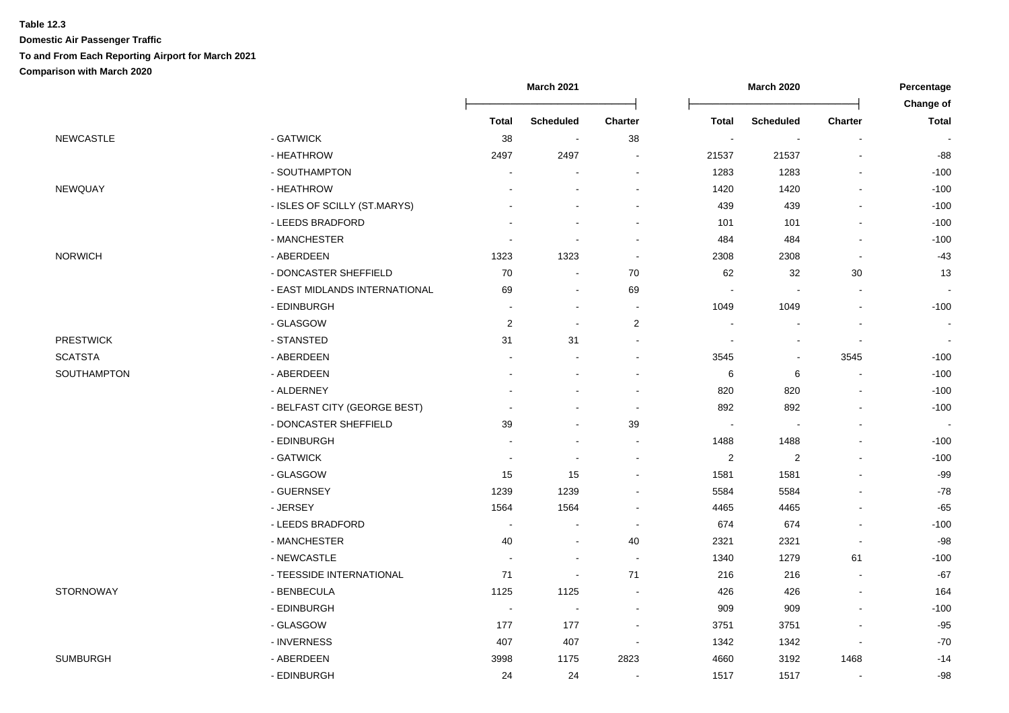|                  |                               | March 2021               |                          |                          |                          | March 2020               |                          | Percentage     |
|------------------|-------------------------------|--------------------------|--------------------------|--------------------------|--------------------------|--------------------------|--------------------------|----------------|
|                  |                               |                          |                          |                          |                          |                          |                          | Change of      |
|                  |                               | <b>Total</b>             | <b>Scheduled</b>         | <b>Charter</b>           | Total                    | <b>Scheduled</b>         | <b>Charter</b>           | <b>Total</b>   |
| <b>NEWCASTLE</b> | - GATWICK                     | 38                       | $\sim$                   | 38                       | $\overline{\phantom{a}}$ | $\blacksquare$           |                          |                |
|                  | - HEATHROW                    | 2497                     | 2497                     |                          | 21537                    | 21537                    |                          | $-88$          |
|                  | - SOUTHAMPTON                 |                          |                          |                          | 1283                     | 1283                     |                          | $-100$         |
| NEWQUAY          | - HEATHROW                    |                          |                          |                          | 1420                     | 1420                     |                          | $-100$         |
|                  | - ISLES OF SCILLY (ST.MARYS)  |                          |                          |                          | 439                      | 439                      |                          | $-100$         |
|                  | - LEEDS BRADFORD              |                          |                          | $\overline{\phantom{a}}$ | 101                      | 101                      | $\overline{a}$           | $-100$         |
|                  | - MANCHESTER                  |                          | $\blacksquare$           |                          | 484                      | 484                      | $\sim$                   | $-100$         |
| <b>NORWICH</b>   | - ABERDEEN                    | 1323                     | 1323                     | $\blacksquare$           | 2308                     | 2308                     |                          | $-43$          |
|                  | - DONCASTER SHEFFIELD         | 70                       | $\overline{\phantom{a}}$ | 70                       | 62                       | 32                       | 30                       | 13             |
|                  | - EAST MIDLANDS INTERNATIONAL | 69                       | $\overline{\phantom{a}}$ | 69                       | $\overline{\phantom{a}}$ | ÷,                       | $\overline{\phantom{a}}$ |                |
|                  | - EDINBURGH                   |                          | $\overline{a}$           | $\overline{\phantom{a}}$ | 1049                     | 1049                     | $\blacksquare$           | $-100$         |
|                  | - GLASGOW                     | $\sqrt{2}$               | $\blacksquare$           | $\boldsymbol{2}$         | $\blacksquare$           | $\overline{\phantom{a}}$ | $\blacksquare$           | $\blacksquare$ |
| <b>PRESTWICK</b> | - STANSTED                    | 31                       | 31                       | ÷                        | ÷                        | $\overline{a}$           | $\sim$                   |                |
| <b>SCATSTA</b>   | - ABERDEEN                    |                          | J.                       | $\overline{a}$           | 3545                     | $\blacksquare$           | 3545                     | $-100$         |
| SOUTHAMPTON      | - ABERDEEN                    |                          |                          |                          | 6                        | 6                        |                          | $-100$         |
|                  | - ALDERNEY                    |                          |                          |                          | 820                      | 820                      | $\blacksquare$           | $-100$         |
|                  | - BELFAST CITY (GEORGE BEST)  |                          |                          | $\blacksquare$           | 892                      | 892                      |                          | $-100$         |
|                  | - DONCASTER SHEFFIELD         | 39                       | $\blacksquare$           | 39                       |                          | $\overline{\phantom{a}}$ | $\sim$                   |                |
|                  | - EDINBURGH                   |                          |                          | $\overline{\phantom{a}}$ | 1488                     | 1488                     | $\blacksquare$           | $-100$         |
|                  | - GATWICK                     |                          |                          | $\overline{\phantom{a}}$ | $\overline{2}$           | $\overline{c}$           |                          | $-100$         |
|                  | - GLASGOW                     | 15                       | 15                       | $\blacksquare$           | 1581                     | 1581                     |                          | $-99$          |
|                  | - GUERNSEY                    | 1239                     | 1239                     |                          | 5584                     | 5584                     |                          | $-78$          |
|                  | - JERSEY                      | 1564                     | 1564                     |                          | 4465                     | 4465                     |                          | $-65$          |
|                  | - LEEDS BRADFORD              | $\overline{\phantom{a}}$ | $\blacksquare$           | $\overline{\phantom{a}}$ | 674                      | 674                      | $\overline{a}$           | $-100$         |
|                  | - MANCHESTER                  | 40                       | ÷                        | 40                       | 2321                     | 2321                     | $\sim$                   | $-98$          |
|                  | - NEWCASTLE                   |                          | $\overline{a}$           |                          | 1340                     | 1279                     | 61                       | $-100$         |
|                  | - TEESSIDE INTERNATIONAL      | 71                       | $\tilde{\phantom{a}}$    | 71                       | 216                      | 216                      | $\blacksquare$           | $-67$          |
| STORNOWAY        | - BENBECULA                   | 1125                     | 1125                     | $\overline{\phantom{a}}$ | 426                      | 426                      | $\blacksquare$           | 164            |
|                  | - EDINBURGH                   | $\overline{\phantom{a}}$ | $\overline{\phantom{a}}$ |                          | 909                      | 909                      |                          | $-100$         |
|                  | - GLASGOW                     | 177                      | 177                      | $\overline{\phantom{a}}$ | 3751                     | 3751                     | $\blacksquare$           | $-95$          |
|                  | - INVERNESS                   | 407                      | 407                      | $\overline{\phantom{a}}$ | 1342                     | 1342                     | $\blacksquare$           | $-70$          |
| <b>SUMBURGH</b>  | - ABERDEEN                    | 3998                     | 1175                     | 2823                     | 4660                     | 3192                     | 1468                     | $-14$          |
|                  | - EDINBURGH                   | 24                       | 24                       | $\blacksquare$           | 1517                     | 1517                     | $\blacksquare$           | $-98$          |